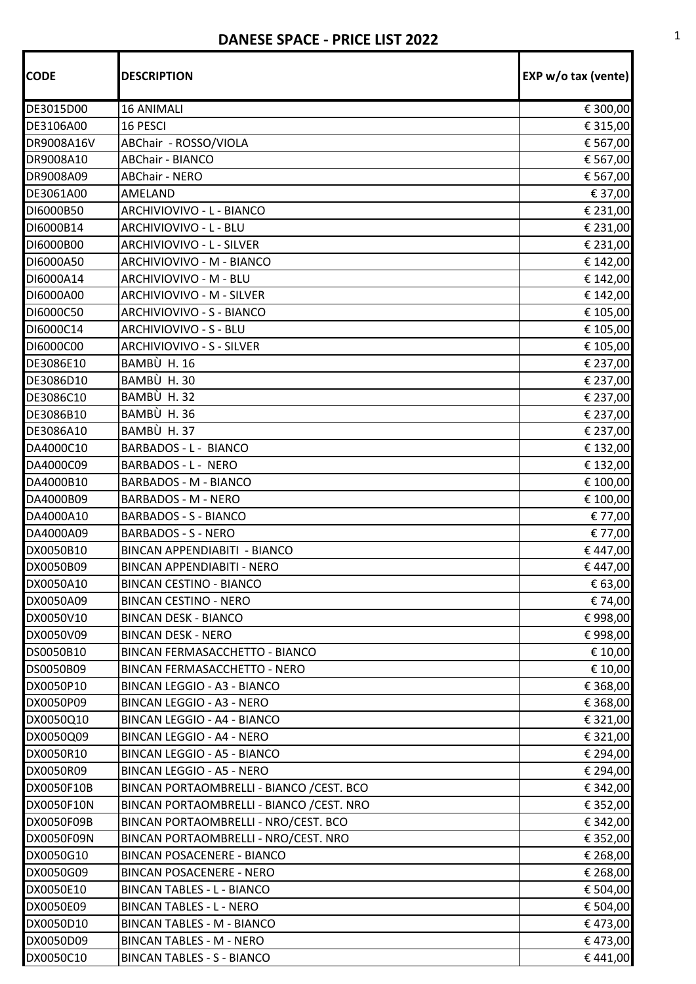## **DANESE SPACE - PRICE LIST 2022**

| <b>CODE</b> | <b>DESCRIPTION</b>                        | EXP w/o tax (vente) |
|-------------|-------------------------------------------|---------------------|
| DE3015D00   | <b>16 ANIMALI</b>                         | € 300,00            |
| DE3106A00   | 16 PESCI                                  | € 315,00            |
| DR9008A16V  | ABChair - ROSSO/VIOLA                     | € 567,00            |
| DR9008A10   | <b>ABChair - BIANCO</b>                   | € 567,00            |
| DR9008A09   | <b>ABChair - NERO</b>                     | € 567,00            |
| DE3061A00   | AMELAND                                   | € 37,00             |
| DI6000B50   | ARCHIVIOVIVO - L - BIANCO                 | € 231,00            |
| DI6000B14   | ARCHIVIOVIVO - L - BLU                    | € 231,00            |
| DI6000B00   | ARCHIVIOVIVO - L - SILVER                 | € 231,00            |
| DI6000A50   | ARCHIVIOVIVO - M - BIANCO                 | € 142,00            |
| DI6000A14   | ARCHIVIOVIVO - M - BLU                    | € 142,00            |
| DI6000A00   | ARCHIVIOVIVO - M - SILVER                 | € 142,00            |
| DI6000C50   | ARCHIVIOVIVO - S - BIANCO                 | € 105,00            |
| DI6000C14   | ARCHIVIOVIVO - S - BLU                    | € 105,00            |
| DI6000C00   | ARCHIVIOVIVO - S - SILVER                 | € 105,00            |
| DE3086E10   | BAMBÙ H. 16                               | € 237,00            |
| DE3086D10   | BAMBÙ H.30                                | € 237,00            |
| DE3086C10   | BAMBÙ H. 32                               | € 237,00            |
| DE3086B10   | BAMBÙ H. 36                               | € 237,00            |
| DE3086A10   | BAMBÙ H.37                                | € 237,00            |
| DA4000C10   | BARBADOS - L - BIANCO                     | € 132,00            |
| DA4000C09   | <b>BARBADOS - L - NERO</b>                | € 132,00            |
| DA4000B10   | <b>BARBADOS - M - BIANCO</b>              | € 100,00            |
| DA4000B09   | <b>BARBADOS - M - NERO</b>                | € 100,00            |
| DA4000A10   | <b>BARBADOS - S - BIANCO</b>              | € 77,00             |
| DA4000A09   | <b>BARBADOS - S - NERO</b>                | € 77,00             |
| DX0050B10   | <b>BINCAN APPENDIABITI - BIANCO</b>       | €447,00             |
| DX0050B09   | <b>BINCAN APPENDIABITI - NERO</b>         | €447,00             |
| DX0050A10   | <b>BINCAN CESTINO - BIANCO</b>            | € 63,00             |
| DX0050A09   | <b>BINCAN CESTINO - NERO</b>              | € 74,00             |
| DX0050V10   | <b>BINCAN DESK - BIANCO</b>               | € 998,00            |
| DX0050V09   | <b>BINCAN DESK - NERO</b>                 | € 998,00            |
| DS0050B10   | BINCAN FERMASACCHETTO - BIANCO            | € 10,00             |
| DS0050B09   | <b>BINCAN FERMASACCHETTO - NERO</b>       | € 10,00             |
| DX0050P10   | <b>BINCAN LEGGIO - A3 - BIANCO</b>        | € 368,00            |
| DX0050P09   | <b>BINCAN LEGGIO - A3 - NERO</b>          | € 368,00            |
| DX0050Q10   | BINCAN LEGGIO - A4 - BIANCO               | € 321,00            |
| DX0050Q09   | BINCAN LEGGIO - A4 - NERO                 | € 321,00            |
| DX0050R10   | BINCAN LEGGIO - A5 - BIANCO               | € 294,00            |
| DX0050R09   | <b>BINCAN LEGGIO - A5 - NERO</b>          | € 294,00            |
| DX0050F10B  | BINCAN PORTAOMBRELLI - BIANCO / CEST. BCO | € 342,00            |
| DX0050F10N  | BINCAN PORTAOMBRELLI - BIANCO / CEST. NRO | € 352,00            |
| DX0050F09B  | BINCAN PORTAOMBRELLI - NRO/CEST. BCO      | € 342,00            |
| DX0050F09N  | BINCAN PORTAOMBRELLI - NRO/CEST. NRO      | € 352,00            |
| DX0050G10   | <b>BINCAN POSACENERE - BIANCO</b>         | € 268,00            |
| DX0050G09   | <b>BINCAN POSACENERE - NERO</b>           | € 268,00            |
| DX0050E10   | <b>BINCAN TABLES - L - BIANCO</b>         | € 504,00            |
| DX0050E09   | <b>BINCAN TABLES - L - NERO</b>           | € 504,00            |
| DX0050D10   | <b>BINCAN TABLES - M - BIANCO</b>         | €473,00             |
| DX0050D09   | <b>BINCAN TABLES - M - NERO</b>           | €473,00             |
| DX0050C10   | <b>BINCAN TABLES - S - BIANCO</b>         | €441,00             |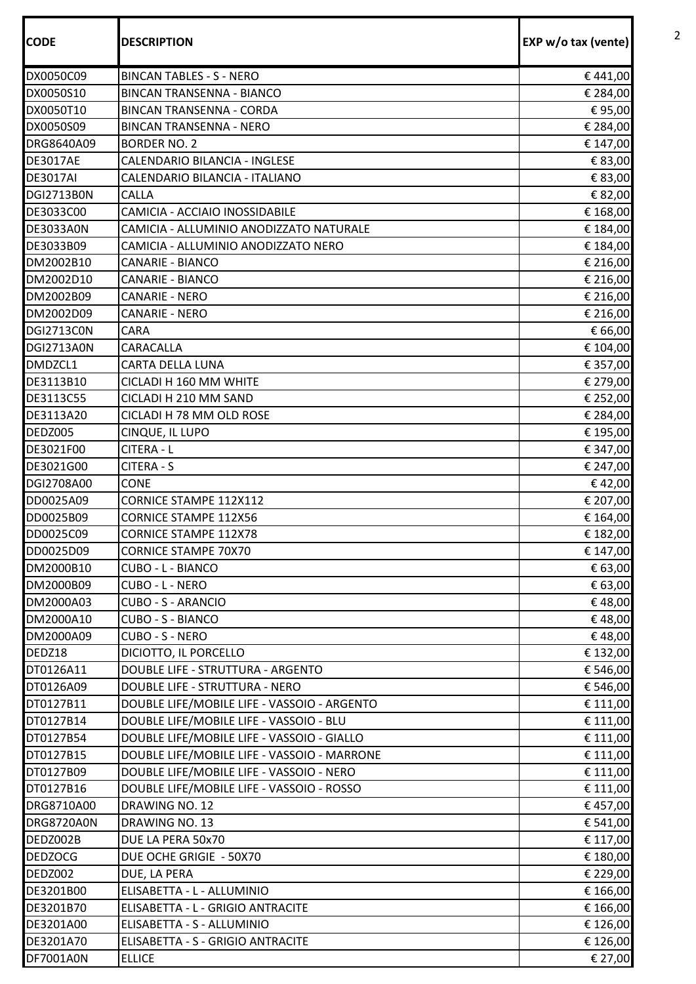| <b>BINCAN TABLES - S - NERO</b><br>€441,00<br><b>BINCAN TRANSENNA - BIANCO</b><br>€ 284,00<br>€95,00<br><b>BINCAN TRANSENNA - CORDA</b><br>DX0050S09<br>€ 284,00<br><b>BINCAN TRANSENNA - NERO</b><br>DRG8640A09<br><b>BORDER NO. 2</b><br>€ 147,00<br>CALENDARIO BILANCIA - INGLESE<br>€ 83,00<br><b>DE3017AE</b><br>CALENDARIO BILANCIA - ITALIANO<br>€ 83,00<br>€ 82,00<br><b>CALLA</b><br>CAMICIA - ACCIAIO INOSSIDABILE<br>€ 168,00<br>CAMICIA - ALLUMINIO ANODIZZATO NATURALE<br>€ 184,00<br>CAMICIA - ALLUMINIO ANODIZZATO NERO<br>€ 184,00<br><b>CANARIE - BIANCO</b><br>€ 216,00<br>€ 216,00<br>DM2002D10<br><b>CANARIE - BIANCO</b><br><b>CANARIE - NERO</b><br>€ 216,00<br>€ 216,00<br>DM2002D09<br><b>CANARIE - NERO</b><br>CARA<br>€ 66,00<br>CARACALLA<br>€ 104,00<br><b>DGI2713A0N</b><br>DMDZCL1<br>CARTA DELLA LUNA<br>€ 357,00<br>DE3113B10<br>CICLADI H 160 MM WHITE<br>€ 279,00<br>€ 252,00<br>DE3113C55<br>CICLADI H 210 MM SAND<br>CICLADI H 78 MM OLD ROSE<br>DE3113A20<br>€ 284,00<br>€ 195,00<br>DEDZ005<br>CINQUE, IL LUPO<br>DE3021F00<br>CITERA - L<br>€ 347,00<br><b>CITERA - S</b><br>DE3021G00<br>€ 247,00<br>DGI2708A00<br><b>CONE</b><br>€42,00<br>CORNICE STAMPE 112X112<br>DD0025A09<br>€ 207,00<br>€ 164,00<br>DD0025B09<br><b>CORNICE STAMPE 112X56</b><br>DD0025C09<br>€ 182,00<br><b>CORNICE STAMPE 112X78</b><br>DD0025D09<br><b>CORNICE STAMPE 70X70</b><br>€ 147,00<br>DM2000B10<br>CUBO - L - BIANCO<br>€ 63,00<br>DM2000B09<br>CUBO - L - NERO<br>€ 63,00<br>DM2000A03<br><b>CUBO - S - ARANCIO</b><br>€48,00<br>DM2000A10<br>CUBO - S - BIANCO<br>€48,00<br>CUBO - S - NERO<br>€48,00<br>DM2000A09<br>DEDZ18<br>DICIOTTO, IL PORCELLO<br>€ 132,00<br>DT0126A11<br>DOUBLE LIFE - STRUTTURA - ARGENTO<br>€ 546,00<br>DOUBLE LIFE - STRUTTURA - NERO<br>€ 546,00<br>DT0126A09<br>DOUBLE LIFE/MOBILE LIFE - VASSOIO - ARGENTO<br>DT0127B11<br>€ 111,00<br>€ 111,00<br>DOUBLE LIFE/MOBILE LIFE - VASSOIO - BLU<br>DT0127B14<br>DT0127B54<br>DOUBLE LIFE/MOBILE LIFE - VASSOIO - GIALLO<br>€ 111,00<br>DOUBLE LIFE/MOBILE LIFE - VASSOIO - MARRONE<br>DT0127B15<br>€ 111,00<br>DOUBLE LIFE/MOBILE LIFE - VASSOIO - NERO<br>€ 111,00<br>DT0127B09<br>DOUBLE LIFE/MOBILE LIFE - VASSOIO - ROSSO<br>DT0127B16<br>€ 111,00<br>DRG8710A00<br>DRAWING NO. 12<br>€ 457,00<br><b>DRG8720A0N</b><br>DRAWING NO. 13<br>€ 541,00<br>DEDZ002B<br>DUE LA PERA 50x70<br>€ 117,00<br>DUE OCHE GRIGIE - 50X70<br>€ 180,00<br><b>DEDZOCG</b><br>€ 229,00<br>DEDZ002<br>DUE, LA PERA<br>DE3201B00<br>ELISABETTA - L - ALLUMINIO<br>€ 166,00<br>DE3201B70<br>ELISABETTA - L - GRIGIO ANTRACITE<br>€ 166,00<br>€ 126,00<br>DE3201A00<br>ELISABETTA - S - ALLUMINIO<br>DE3201A70<br>ELISABETTA - S - GRIGIO ANTRACITE<br>€ 126,00<br>€ 27,00<br>DF7001A0N<br><b>ELLICE</b> | <b>CODE</b>       | <b>DESCRIPTION</b> | EXP w/o tax (vente) |
|----------------------------------------------------------------------------------------------------------------------------------------------------------------------------------------------------------------------------------------------------------------------------------------------------------------------------------------------------------------------------------------------------------------------------------------------------------------------------------------------------------------------------------------------------------------------------------------------------------------------------------------------------------------------------------------------------------------------------------------------------------------------------------------------------------------------------------------------------------------------------------------------------------------------------------------------------------------------------------------------------------------------------------------------------------------------------------------------------------------------------------------------------------------------------------------------------------------------------------------------------------------------------------------------------------------------------------------------------------------------------------------------------------------------------------------------------------------------------------------------------------------------------------------------------------------------------------------------------------------------------------------------------------------------------------------------------------------------------------------------------------------------------------------------------------------------------------------------------------------------------------------------------------------------------------------------------------------------------------------------------------------------------------------------------------------------------------------------------------------------------------------------------------------------------------------------------------------------------------------------------------------------------------------------------------------------------------------------------------------------------------------------------------------------------------------------------------------------------------------------------------------------------------------------------------------------------------------------------------------------------------------------------------------------------------------------------------------------------------------------------------------------------------------------|-------------------|--------------------|---------------------|
|                                                                                                                                                                                                                                                                                                                                                                                                                                                                                                                                                                                                                                                                                                                                                                                                                                                                                                                                                                                                                                                                                                                                                                                                                                                                                                                                                                                                                                                                                                                                                                                                                                                                                                                                                                                                                                                                                                                                                                                                                                                                                                                                                                                                                                                                                                                                                                                                                                                                                                                                                                                                                                                                                                                                                                                              | DX0050C09         |                    |                     |
|                                                                                                                                                                                                                                                                                                                                                                                                                                                                                                                                                                                                                                                                                                                                                                                                                                                                                                                                                                                                                                                                                                                                                                                                                                                                                                                                                                                                                                                                                                                                                                                                                                                                                                                                                                                                                                                                                                                                                                                                                                                                                                                                                                                                                                                                                                                                                                                                                                                                                                                                                                                                                                                                                                                                                                                              | DX0050S10         |                    |                     |
|                                                                                                                                                                                                                                                                                                                                                                                                                                                                                                                                                                                                                                                                                                                                                                                                                                                                                                                                                                                                                                                                                                                                                                                                                                                                                                                                                                                                                                                                                                                                                                                                                                                                                                                                                                                                                                                                                                                                                                                                                                                                                                                                                                                                                                                                                                                                                                                                                                                                                                                                                                                                                                                                                                                                                                                              | DX0050T10         |                    |                     |
|                                                                                                                                                                                                                                                                                                                                                                                                                                                                                                                                                                                                                                                                                                                                                                                                                                                                                                                                                                                                                                                                                                                                                                                                                                                                                                                                                                                                                                                                                                                                                                                                                                                                                                                                                                                                                                                                                                                                                                                                                                                                                                                                                                                                                                                                                                                                                                                                                                                                                                                                                                                                                                                                                                                                                                                              |                   |                    |                     |
|                                                                                                                                                                                                                                                                                                                                                                                                                                                                                                                                                                                                                                                                                                                                                                                                                                                                                                                                                                                                                                                                                                                                                                                                                                                                                                                                                                                                                                                                                                                                                                                                                                                                                                                                                                                                                                                                                                                                                                                                                                                                                                                                                                                                                                                                                                                                                                                                                                                                                                                                                                                                                                                                                                                                                                                              |                   |                    |                     |
|                                                                                                                                                                                                                                                                                                                                                                                                                                                                                                                                                                                                                                                                                                                                                                                                                                                                                                                                                                                                                                                                                                                                                                                                                                                                                                                                                                                                                                                                                                                                                                                                                                                                                                                                                                                                                                                                                                                                                                                                                                                                                                                                                                                                                                                                                                                                                                                                                                                                                                                                                                                                                                                                                                                                                                                              |                   |                    |                     |
|                                                                                                                                                                                                                                                                                                                                                                                                                                                                                                                                                                                                                                                                                                                                                                                                                                                                                                                                                                                                                                                                                                                                                                                                                                                                                                                                                                                                                                                                                                                                                                                                                                                                                                                                                                                                                                                                                                                                                                                                                                                                                                                                                                                                                                                                                                                                                                                                                                                                                                                                                                                                                                                                                                                                                                                              | <b>DE3017AI</b>   |                    |                     |
|                                                                                                                                                                                                                                                                                                                                                                                                                                                                                                                                                                                                                                                                                                                                                                                                                                                                                                                                                                                                                                                                                                                                                                                                                                                                                                                                                                                                                                                                                                                                                                                                                                                                                                                                                                                                                                                                                                                                                                                                                                                                                                                                                                                                                                                                                                                                                                                                                                                                                                                                                                                                                                                                                                                                                                                              | <b>DGI2713B0N</b> |                    |                     |
|                                                                                                                                                                                                                                                                                                                                                                                                                                                                                                                                                                                                                                                                                                                                                                                                                                                                                                                                                                                                                                                                                                                                                                                                                                                                                                                                                                                                                                                                                                                                                                                                                                                                                                                                                                                                                                                                                                                                                                                                                                                                                                                                                                                                                                                                                                                                                                                                                                                                                                                                                                                                                                                                                                                                                                                              | DE3033C00         |                    |                     |
|                                                                                                                                                                                                                                                                                                                                                                                                                                                                                                                                                                                                                                                                                                                                                                                                                                                                                                                                                                                                                                                                                                                                                                                                                                                                                                                                                                                                                                                                                                                                                                                                                                                                                                                                                                                                                                                                                                                                                                                                                                                                                                                                                                                                                                                                                                                                                                                                                                                                                                                                                                                                                                                                                                                                                                                              | <b>DE3033A0N</b>  |                    |                     |
|                                                                                                                                                                                                                                                                                                                                                                                                                                                                                                                                                                                                                                                                                                                                                                                                                                                                                                                                                                                                                                                                                                                                                                                                                                                                                                                                                                                                                                                                                                                                                                                                                                                                                                                                                                                                                                                                                                                                                                                                                                                                                                                                                                                                                                                                                                                                                                                                                                                                                                                                                                                                                                                                                                                                                                                              | DE3033B09         |                    |                     |
|                                                                                                                                                                                                                                                                                                                                                                                                                                                                                                                                                                                                                                                                                                                                                                                                                                                                                                                                                                                                                                                                                                                                                                                                                                                                                                                                                                                                                                                                                                                                                                                                                                                                                                                                                                                                                                                                                                                                                                                                                                                                                                                                                                                                                                                                                                                                                                                                                                                                                                                                                                                                                                                                                                                                                                                              | DM2002B10         |                    |                     |
|                                                                                                                                                                                                                                                                                                                                                                                                                                                                                                                                                                                                                                                                                                                                                                                                                                                                                                                                                                                                                                                                                                                                                                                                                                                                                                                                                                                                                                                                                                                                                                                                                                                                                                                                                                                                                                                                                                                                                                                                                                                                                                                                                                                                                                                                                                                                                                                                                                                                                                                                                                                                                                                                                                                                                                                              |                   |                    |                     |
|                                                                                                                                                                                                                                                                                                                                                                                                                                                                                                                                                                                                                                                                                                                                                                                                                                                                                                                                                                                                                                                                                                                                                                                                                                                                                                                                                                                                                                                                                                                                                                                                                                                                                                                                                                                                                                                                                                                                                                                                                                                                                                                                                                                                                                                                                                                                                                                                                                                                                                                                                                                                                                                                                                                                                                                              | DM2002B09         |                    |                     |
|                                                                                                                                                                                                                                                                                                                                                                                                                                                                                                                                                                                                                                                                                                                                                                                                                                                                                                                                                                                                                                                                                                                                                                                                                                                                                                                                                                                                                                                                                                                                                                                                                                                                                                                                                                                                                                                                                                                                                                                                                                                                                                                                                                                                                                                                                                                                                                                                                                                                                                                                                                                                                                                                                                                                                                                              |                   |                    |                     |
|                                                                                                                                                                                                                                                                                                                                                                                                                                                                                                                                                                                                                                                                                                                                                                                                                                                                                                                                                                                                                                                                                                                                                                                                                                                                                                                                                                                                                                                                                                                                                                                                                                                                                                                                                                                                                                                                                                                                                                                                                                                                                                                                                                                                                                                                                                                                                                                                                                                                                                                                                                                                                                                                                                                                                                                              | <b>DGI2713CON</b> |                    |                     |
|                                                                                                                                                                                                                                                                                                                                                                                                                                                                                                                                                                                                                                                                                                                                                                                                                                                                                                                                                                                                                                                                                                                                                                                                                                                                                                                                                                                                                                                                                                                                                                                                                                                                                                                                                                                                                                                                                                                                                                                                                                                                                                                                                                                                                                                                                                                                                                                                                                                                                                                                                                                                                                                                                                                                                                                              |                   |                    |                     |
|                                                                                                                                                                                                                                                                                                                                                                                                                                                                                                                                                                                                                                                                                                                                                                                                                                                                                                                                                                                                                                                                                                                                                                                                                                                                                                                                                                                                                                                                                                                                                                                                                                                                                                                                                                                                                                                                                                                                                                                                                                                                                                                                                                                                                                                                                                                                                                                                                                                                                                                                                                                                                                                                                                                                                                                              |                   |                    |                     |
|                                                                                                                                                                                                                                                                                                                                                                                                                                                                                                                                                                                                                                                                                                                                                                                                                                                                                                                                                                                                                                                                                                                                                                                                                                                                                                                                                                                                                                                                                                                                                                                                                                                                                                                                                                                                                                                                                                                                                                                                                                                                                                                                                                                                                                                                                                                                                                                                                                                                                                                                                                                                                                                                                                                                                                                              |                   |                    |                     |
|                                                                                                                                                                                                                                                                                                                                                                                                                                                                                                                                                                                                                                                                                                                                                                                                                                                                                                                                                                                                                                                                                                                                                                                                                                                                                                                                                                                                                                                                                                                                                                                                                                                                                                                                                                                                                                                                                                                                                                                                                                                                                                                                                                                                                                                                                                                                                                                                                                                                                                                                                                                                                                                                                                                                                                                              |                   |                    |                     |
|                                                                                                                                                                                                                                                                                                                                                                                                                                                                                                                                                                                                                                                                                                                                                                                                                                                                                                                                                                                                                                                                                                                                                                                                                                                                                                                                                                                                                                                                                                                                                                                                                                                                                                                                                                                                                                                                                                                                                                                                                                                                                                                                                                                                                                                                                                                                                                                                                                                                                                                                                                                                                                                                                                                                                                                              |                   |                    |                     |
|                                                                                                                                                                                                                                                                                                                                                                                                                                                                                                                                                                                                                                                                                                                                                                                                                                                                                                                                                                                                                                                                                                                                                                                                                                                                                                                                                                                                                                                                                                                                                                                                                                                                                                                                                                                                                                                                                                                                                                                                                                                                                                                                                                                                                                                                                                                                                                                                                                                                                                                                                                                                                                                                                                                                                                                              |                   |                    |                     |
|                                                                                                                                                                                                                                                                                                                                                                                                                                                                                                                                                                                                                                                                                                                                                                                                                                                                                                                                                                                                                                                                                                                                                                                                                                                                                                                                                                                                                                                                                                                                                                                                                                                                                                                                                                                                                                                                                                                                                                                                                                                                                                                                                                                                                                                                                                                                                                                                                                                                                                                                                                                                                                                                                                                                                                                              |                   |                    |                     |
|                                                                                                                                                                                                                                                                                                                                                                                                                                                                                                                                                                                                                                                                                                                                                                                                                                                                                                                                                                                                                                                                                                                                                                                                                                                                                                                                                                                                                                                                                                                                                                                                                                                                                                                                                                                                                                                                                                                                                                                                                                                                                                                                                                                                                                                                                                                                                                                                                                                                                                                                                                                                                                                                                                                                                                                              |                   |                    |                     |
|                                                                                                                                                                                                                                                                                                                                                                                                                                                                                                                                                                                                                                                                                                                                                                                                                                                                                                                                                                                                                                                                                                                                                                                                                                                                                                                                                                                                                                                                                                                                                                                                                                                                                                                                                                                                                                                                                                                                                                                                                                                                                                                                                                                                                                                                                                                                                                                                                                                                                                                                                                                                                                                                                                                                                                                              |                   |                    |                     |
|                                                                                                                                                                                                                                                                                                                                                                                                                                                                                                                                                                                                                                                                                                                                                                                                                                                                                                                                                                                                                                                                                                                                                                                                                                                                                                                                                                                                                                                                                                                                                                                                                                                                                                                                                                                                                                                                                                                                                                                                                                                                                                                                                                                                                                                                                                                                                                                                                                                                                                                                                                                                                                                                                                                                                                                              |                   |                    |                     |
|                                                                                                                                                                                                                                                                                                                                                                                                                                                                                                                                                                                                                                                                                                                                                                                                                                                                                                                                                                                                                                                                                                                                                                                                                                                                                                                                                                                                                                                                                                                                                                                                                                                                                                                                                                                                                                                                                                                                                                                                                                                                                                                                                                                                                                                                                                                                                                                                                                                                                                                                                                                                                                                                                                                                                                                              |                   |                    |                     |
|                                                                                                                                                                                                                                                                                                                                                                                                                                                                                                                                                                                                                                                                                                                                                                                                                                                                                                                                                                                                                                                                                                                                                                                                                                                                                                                                                                                                                                                                                                                                                                                                                                                                                                                                                                                                                                                                                                                                                                                                                                                                                                                                                                                                                                                                                                                                                                                                                                                                                                                                                                                                                                                                                                                                                                                              |                   |                    |                     |
|                                                                                                                                                                                                                                                                                                                                                                                                                                                                                                                                                                                                                                                                                                                                                                                                                                                                                                                                                                                                                                                                                                                                                                                                                                                                                                                                                                                                                                                                                                                                                                                                                                                                                                                                                                                                                                                                                                                                                                                                                                                                                                                                                                                                                                                                                                                                                                                                                                                                                                                                                                                                                                                                                                                                                                                              |                   |                    |                     |
|                                                                                                                                                                                                                                                                                                                                                                                                                                                                                                                                                                                                                                                                                                                                                                                                                                                                                                                                                                                                                                                                                                                                                                                                                                                                                                                                                                                                                                                                                                                                                                                                                                                                                                                                                                                                                                                                                                                                                                                                                                                                                                                                                                                                                                                                                                                                                                                                                                                                                                                                                                                                                                                                                                                                                                                              |                   |                    |                     |
|                                                                                                                                                                                                                                                                                                                                                                                                                                                                                                                                                                                                                                                                                                                                                                                                                                                                                                                                                                                                                                                                                                                                                                                                                                                                                                                                                                                                                                                                                                                                                                                                                                                                                                                                                                                                                                                                                                                                                                                                                                                                                                                                                                                                                                                                                                                                                                                                                                                                                                                                                                                                                                                                                                                                                                                              |                   |                    |                     |
|                                                                                                                                                                                                                                                                                                                                                                                                                                                                                                                                                                                                                                                                                                                                                                                                                                                                                                                                                                                                                                                                                                                                                                                                                                                                                                                                                                                                                                                                                                                                                                                                                                                                                                                                                                                                                                                                                                                                                                                                                                                                                                                                                                                                                                                                                                                                                                                                                                                                                                                                                                                                                                                                                                                                                                                              |                   |                    |                     |
|                                                                                                                                                                                                                                                                                                                                                                                                                                                                                                                                                                                                                                                                                                                                                                                                                                                                                                                                                                                                                                                                                                                                                                                                                                                                                                                                                                                                                                                                                                                                                                                                                                                                                                                                                                                                                                                                                                                                                                                                                                                                                                                                                                                                                                                                                                                                                                                                                                                                                                                                                                                                                                                                                                                                                                                              |                   |                    |                     |
|                                                                                                                                                                                                                                                                                                                                                                                                                                                                                                                                                                                                                                                                                                                                                                                                                                                                                                                                                                                                                                                                                                                                                                                                                                                                                                                                                                                                                                                                                                                                                                                                                                                                                                                                                                                                                                                                                                                                                                                                                                                                                                                                                                                                                                                                                                                                                                                                                                                                                                                                                                                                                                                                                                                                                                                              |                   |                    |                     |
|                                                                                                                                                                                                                                                                                                                                                                                                                                                                                                                                                                                                                                                                                                                                                                                                                                                                                                                                                                                                                                                                                                                                                                                                                                                                                                                                                                                                                                                                                                                                                                                                                                                                                                                                                                                                                                                                                                                                                                                                                                                                                                                                                                                                                                                                                                                                                                                                                                                                                                                                                                                                                                                                                                                                                                                              |                   |                    |                     |
|                                                                                                                                                                                                                                                                                                                                                                                                                                                                                                                                                                                                                                                                                                                                                                                                                                                                                                                                                                                                                                                                                                                                                                                                                                                                                                                                                                                                                                                                                                                                                                                                                                                                                                                                                                                                                                                                                                                                                                                                                                                                                                                                                                                                                                                                                                                                                                                                                                                                                                                                                                                                                                                                                                                                                                                              |                   |                    |                     |
|                                                                                                                                                                                                                                                                                                                                                                                                                                                                                                                                                                                                                                                                                                                                                                                                                                                                                                                                                                                                                                                                                                                                                                                                                                                                                                                                                                                                                                                                                                                                                                                                                                                                                                                                                                                                                                                                                                                                                                                                                                                                                                                                                                                                                                                                                                                                                                                                                                                                                                                                                                                                                                                                                                                                                                                              |                   |                    |                     |
|                                                                                                                                                                                                                                                                                                                                                                                                                                                                                                                                                                                                                                                                                                                                                                                                                                                                                                                                                                                                                                                                                                                                                                                                                                                                                                                                                                                                                                                                                                                                                                                                                                                                                                                                                                                                                                                                                                                                                                                                                                                                                                                                                                                                                                                                                                                                                                                                                                                                                                                                                                                                                                                                                                                                                                                              |                   |                    |                     |
|                                                                                                                                                                                                                                                                                                                                                                                                                                                                                                                                                                                                                                                                                                                                                                                                                                                                                                                                                                                                                                                                                                                                                                                                                                                                                                                                                                                                                                                                                                                                                                                                                                                                                                                                                                                                                                                                                                                                                                                                                                                                                                                                                                                                                                                                                                                                                                                                                                                                                                                                                                                                                                                                                                                                                                                              |                   |                    |                     |
|                                                                                                                                                                                                                                                                                                                                                                                                                                                                                                                                                                                                                                                                                                                                                                                                                                                                                                                                                                                                                                                                                                                                                                                                                                                                                                                                                                                                                                                                                                                                                                                                                                                                                                                                                                                                                                                                                                                                                                                                                                                                                                                                                                                                                                                                                                                                                                                                                                                                                                                                                                                                                                                                                                                                                                                              |                   |                    |                     |
|                                                                                                                                                                                                                                                                                                                                                                                                                                                                                                                                                                                                                                                                                                                                                                                                                                                                                                                                                                                                                                                                                                                                                                                                                                                                                                                                                                                                                                                                                                                                                                                                                                                                                                                                                                                                                                                                                                                                                                                                                                                                                                                                                                                                                                                                                                                                                                                                                                                                                                                                                                                                                                                                                                                                                                                              |                   |                    |                     |
|                                                                                                                                                                                                                                                                                                                                                                                                                                                                                                                                                                                                                                                                                                                                                                                                                                                                                                                                                                                                                                                                                                                                                                                                                                                                                                                                                                                                                                                                                                                                                                                                                                                                                                                                                                                                                                                                                                                                                                                                                                                                                                                                                                                                                                                                                                                                                                                                                                                                                                                                                                                                                                                                                                                                                                                              |                   |                    |                     |
|                                                                                                                                                                                                                                                                                                                                                                                                                                                                                                                                                                                                                                                                                                                                                                                                                                                                                                                                                                                                                                                                                                                                                                                                                                                                                                                                                                                                                                                                                                                                                                                                                                                                                                                                                                                                                                                                                                                                                                                                                                                                                                                                                                                                                                                                                                                                                                                                                                                                                                                                                                                                                                                                                                                                                                                              |                   |                    |                     |
|                                                                                                                                                                                                                                                                                                                                                                                                                                                                                                                                                                                                                                                                                                                                                                                                                                                                                                                                                                                                                                                                                                                                                                                                                                                                                                                                                                                                                                                                                                                                                                                                                                                                                                                                                                                                                                                                                                                                                                                                                                                                                                                                                                                                                                                                                                                                                                                                                                                                                                                                                                                                                                                                                                                                                                                              |                   |                    |                     |
|                                                                                                                                                                                                                                                                                                                                                                                                                                                                                                                                                                                                                                                                                                                                                                                                                                                                                                                                                                                                                                                                                                                                                                                                                                                                                                                                                                                                                                                                                                                                                                                                                                                                                                                                                                                                                                                                                                                                                                                                                                                                                                                                                                                                                                                                                                                                                                                                                                                                                                                                                                                                                                                                                                                                                                                              |                   |                    |                     |
|                                                                                                                                                                                                                                                                                                                                                                                                                                                                                                                                                                                                                                                                                                                                                                                                                                                                                                                                                                                                                                                                                                                                                                                                                                                                                                                                                                                                                                                                                                                                                                                                                                                                                                                                                                                                                                                                                                                                                                                                                                                                                                                                                                                                                                                                                                                                                                                                                                                                                                                                                                                                                                                                                                                                                                                              |                   |                    |                     |
|                                                                                                                                                                                                                                                                                                                                                                                                                                                                                                                                                                                                                                                                                                                                                                                                                                                                                                                                                                                                                                                                                                                                                                                                                                                                                                                                                                                                                                                                                                                                                                                                                                                                                                                                                                                                                                                                                                                                                                                                                                                                                                                                                                                                                                                                                                                                                                                                                                                                                                                                                                                                                                                                                                                                                                                              |                   |                    |                     |
|                                                                                                                                                                                                                                                                                                                                                                                                                                                                                                                                                                                                                                                                                                                                                                                                                                                                                                                                                                                                                                                                                                                                                                                                                                                                                                                                                                                                                                                                                                                                                                                                                                                                                                                                                                                                                                                                                                                                                                                                                                                                                                                                                                                                                                                                                                                                                                                                                                                                                                                                                                                                                                                                                                                                                                                              |                   |                    |                     |
|                                                                                                                                                                                                                                                                                                                                                                                                                                                                                                                                                                                                                                                                                                                                                                                                                                                                                                                                                                                                                                                                                                                                                                                                                                                                                                                                                                                                                                                                                                                                                                                                                                                                                                                                                                                                                                                                                                                                                                                                                                                                                                                                                                                                                                                                                                                                                                                                                                                                                                                                                                                                                                                                                                                                                                                              |                   |                    |                     |
|                                                                                                                                                                                                                                                                                                                                                                                                                                                                                                                                                                                                                                                                                                                                                                                                                                                                                                                                                                                                                                                                                                                                                                                                                                                                                                                                                                                                                                                                                                                                                                                                                                                                                                                                                                                                                                                                                                                                                                                                                                                                                                                                                                                                                                                                                                                                                                                                                                                                                                                                                                                                                                                                                                                                                                                              |                   |                    |                     |
|                                                                                                                                                                                                                                                                                                                                                                                                                                                                                                                                                                                                                                                                                                                                                                                                                                                                                                                                                                                                                                                                                                                                                                                                                                                                                                                                                                                                                                                                                                                                                                                                                                                                                                                                                                                                                                                                                                                                                                                                                                                                                                                                                                                                                                                                                                                                                                                                                                                                                                                                                                                                                                                                                                                                                                                              |                   |                    |                     |
|                                                                                                                                                                                                                                                                                                                                                                                                                                                                                                                                                                                                                                                                                                                                                                                                                                                                                                                                                                                                                                                                                                                                                                                                                                                                                                                                                                                                                                                                                                                                                                                                                                                                                                                                                                                                                                                                                                                                                                                                                                                                                                                                                                                                                                                                                                                                                                                                                                                                                                                                                                                                                                                                                                                                                                                              |                   |                    |                     |
|                                                                                                                                                                                                                                                                                                                                                                                                                                                                                                                                                                                                                                                                                                                                                                                                                                                                                                                                                                                                                                                                                                                                                                                                                                                                                                                                                                                                                                                                                                                                                                                                                                                                                                                                                                                                                                                                                                                                                                                                                                                                                                                                                                                                                                                                                                                                                                                                                                                                                                                                                                                                                                                                                                                                                                                              |                   |                    |                     |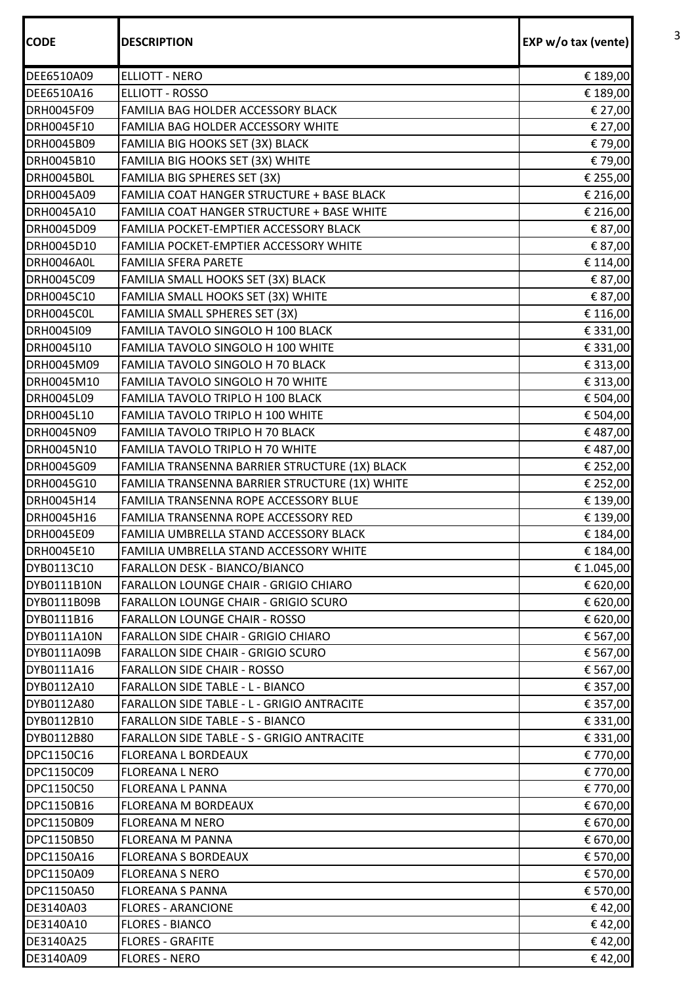| <b>CODE</b> | <b>DESCRIPTION</b>                             | EXP w/o tax (vente) |
|-------------|------------------------------------------------|---------------------|
|             |                                                |                     |
| DEE6510A09  | <b>ELLIOTT - NERO</b>                          | € 189,00            |
| DEE6510A16  | <b>ELLIOTT - ROSSO</b>                         | € 189,00            |
| DRH0045F09  | FAMILIA BAG HOLDER ACCESSORY BLACK             | € 27,00             |
| DRH0045F10  | FAMILIA BAG HOLDER ACCESSORY WHITE             | € 27,00             |
| DRH0045B09  | FAMILIA BIG HOOKS SET (3X) BLACK               | € 79,00             |
| DRH0045B10  | FAMILIA BIG HOOKS SET (3X) WHITE               | € 79,00             |
| DRH0045B0L  | FAMILIA BIG SPHERES SET (3X)                   | € 255,00            |
| DRH0045A09  | FAMILIA COAT HANGER STRUCTURE + BASE BLACK     | € 216,00            |
| DRH0045A10  | FAMILIA COAT HANGER STRUCTURE + BASE WHITE     | € 216,00            |
| DRH0045D09  | FAMILIA POCKET-EMPTIER ACCESSORY BLACK         | € 87,00             |
| DRH0045D10  | FAMILIA POCKET-EMPTIER ACCESSORY WHITE         | € 87,00             |
| DRH0046A0L  | <b>FAMILIA SFERA PARETE</b>                    | € 114,00            |
| DRH0045C09  | FAMILIA SMALL HOOKS SET (3X) BLACK             | € 87,00             |
| DRH0045C10  | FAMILIA SMALL HOOKS SET (3X) WHITE             | € 87,00             |
| DRH0045C0L  | FAMILIA SMALL SPHERES SET (3X)                 | € 116,00            |
| DRH0045109  | FAMILIA TAVOLO SINGOLO H 100 BLACK             | € 331,00            |
| DRH0045110  | FAMILIA TAVOLO SINGOLO H 100 WHITE             | € 331,00            |
| DRH0045M09  | FAMILIA TAVOLO SINGOLO H 70 BLACK              | € 313,00            |
| DRH0045M10  | FAMILIA TAVOLO SINGOLO H 70 WHITE              | € 313,00            |
| DRH0045L09  | FAMILIA TAVOLO TRIPLO H 100 BLACK              | € 504,00            |
| DRH0045L10  | FAMILIA TAVOLO TRIPLO H 100 WHITE              | € 504,00            |
| DRH0045N09  | FAMILIA TAVOLO TRIPLO H 70 BLACK               | €487,00             |
| DRH0045N10  | FAMILIA TAVOLO TRIPLO H 70 WHITE               | €487,00             |
| DRH0045G09  | FAMILIA TRANSENNA BARRIER STRUCTURE (1X) BLACK | € 252,00            |
| DRH0045G10  | FAMILIA TRANSENNA BARRIER STRUCTURE (1X) WHITE | € 252,00            |
| DRH0045H14  | FAMILIA TRANSENNA ROPE ACCESSORY BLUE          | € 139,00            |
| DRH0045H16  | FAMILIA TRANSENNA ROPE ACCESSORY RED           | € 139,00            |
| DRH0045E09  | FAMILIA UMBRELLA STAND ACCESSORY BLACK         | € 184,00            |
| DRH0045E10  | FAMILIA UMBRELLA STAND ACCESSORY WHITE         | € 184,00            |
| DYB0113C10  | FARALLON DESK - BIANCO/BIANCO                  | € 1.045,00          |
| DYB0111B10N | <b>FARALLON LOUNGE CHAIR - GRIGIO CHIARO</b>   | € 620,00            |
| DYB0111B09B | <b>FARALLON LOUNGE CHAIR - GRIGIO SCURO</b>    | € 620,00            |
| DYB0111B16  | <b>FARALLON LOUNGE CHAIR - ROSSO</b>           | € 620,00            |
| DYB0111A10N | FARALLON SIDE CHAIR - GRIGIO CHIARO            | € 567,00            |
| DYB0111A09B | FARALLON SIDE CHAIR - GRIGIO SCURO             | € 567,00            |
| DYB0111A16  | <b>FARALLON SIDE CHAIR - ROSSO</b>             | € 567,00            |
| DYB0112A10  | <b>FARALLON SIDE TABLE - L - BIANCO</b>        | € 357,00            |
| DYB0112A80  | FARALLON SIDE TABLE - L - GRIGIO ANTRACITE     | € 357,00            |
| DYB0112B10  | <b>FARALLON SIDE TABLE - S - BIANCO</b>        | € 331,00            |
| DYB0112B80  | FARALLON SIDE TABLE - S - GRIGIO ANTRACITE     | € 331,00            |
| DPC1150C16  | <b>FLOREANA L BORDEAUX</b>                     | € 770,00            |
| DPC1150C09  | <b>FLOREANA L NERO</b>                         | € 770,00            |
| DPC1150C50  | <b>FLOREANA L PANNA</b>                        | € 770,00            |
| DPC1150B16  | <b>FLOREANA M BORDEAUX</b>                     | € 670,00            |
| DPC1150B09  | <b>FLOREANA M NERO</b>                         | € 670,00            |
| DPC1150B50  | <b>FLOREANA M PANNA</b>                        | € 670,00            |
| DPC1150A16  | <b>FLOREANA S BORDEAUX</b>                     | € 570,00            |
| DPC1150A09  | <b>FLOREANA S NERO</b>                         | € 570,00            |
| DPC1150A50  | <b>FLOREANA S PANNA</b>                        | € 570,00            |
| DE3140A03   | <b>FLORES - ARANCIONE</b>                      | €42,00              |
| DE3140A10   | <b>FLORES - BIANCO</b>                         | €42,00              |
| DE3140A25   | <b>FLORES - GRAFITE</b>                        | €42,00              |
| DE3140A09   | <b>FLORES - NERO</b>                           | €42,00              |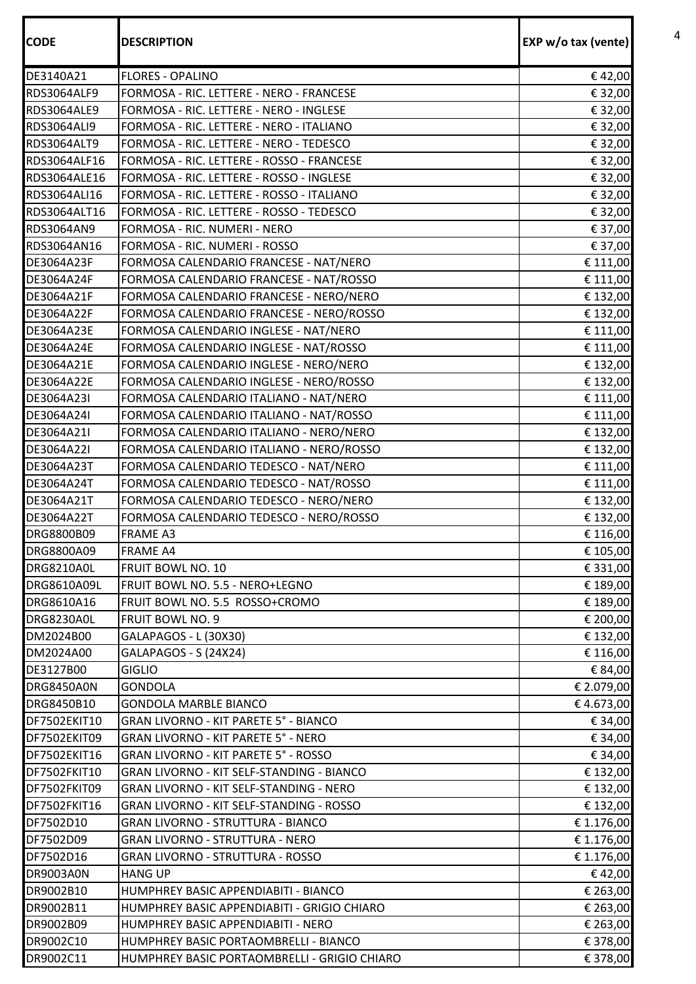| <b>CODE</b>        | <b>DESCRIPTION</b>                              | EXP w/o tax (vente) |
|--------------------|-------------------------------------------------|---------------------|
| DE3140A21          | <b>FLORES - OPALINO</b>                         | €42,00              |
| RDS3064ALF9        | FORMOSA - RIC. LETTERE - NERO - FRANCESE        | € 32,00             |
| <b>RDS3064ALE9</b> | FORMOSA - RIC. LETTERE - NERO - INGLESE         | € 32,00             |
| <b>RDS3064ALI9</b> | FORMOSA - RIC. LETTERE - NERO - ITALIANO        | € 32,00             |
| <b>RDS3064ALT9</b> | FORMOSA - RIC. LETTERE - NERO - TEDESCO         | € 32,00             |
| RDS3064ALF16       | FORMOSA - RIC. LETTERE - ROSSO - FRANCESE       | € 32,00             |
| RDS3064ALE16       | FORMOSA - RIC. LETTERE - ROSSO - INGLESE        | € 32,00             |
| RDS3064ALI16       | FORMOSA - RIC. LETTERE - ROSSO - ITALIANO       | € 32,00             |
| RDS3064ALT16       | FORMOSA - RIC. LETTERE - ROSSO - TEDESCO        | € 32,00             |
| <b>RDS3064AN9</b>  | FORMOSA - RIC. NUMERI - NERO                    | € 37,00             |
| RDS3064AN16        | FORMOSA - RIC. NUMERI - ROSSO                   | € 37,00             |
| DE3064A23F         | FORMOSA CALENDARIO FRANCESE - NAT/NERO          | € 111,00            |
| DE3064A24F         | FORMOSA CALENDARIO FRANCESE - NAT/ROSSO         | € 111,00            |
| DE3064A21F         | FORMOSA CALENDARIO FRANCESE - NERO/NERO         | € 132,00            |
| DE3064A22F         | FORMOSA CALENDARIO FRANCESE - NERO/ROSSO        | € 132,00            |
| DE3064A23E         | FORMOSA CALENDARIO INGLESE - NAT/NERO           | € 111,00            |
| DE3064A24E         | FORMOSA CALENDARIO INGLESE - NAT/ROSSO          | € 111,00            |
| DE3064A21E         | FORMOSA CALENDARIO INGLESE - NERO/NERO          | € 132,00            |
| DE3064A22E         | FORMOSA CALENDARIO INGLESE - NERO/ROSSO         | € 132,00            |
| DE3064A23I         | FORMOSA CALENDARIO ITALIANO - NAT/NERO          | € 111,00            |
| DE3064A24I         | FORMOSA CALENDARIO ITALIANO - NAT/ROSSO         | € 111,00            |
| DE3064A21I         | FORMOSA CALENDARIO ITALIANO - NERO/NERO         | € 132,00            |
| DE3064A22I         | FORMOSA CALENDARIO ITALIANO - NERO/ROSSO        | € 132,00            |
| DE3064A23T         | FORMOSA CALENDARIO TEDESCO - NAT/NERO           | € 111,00            |
| DE3064A24T         | FORMOSA CALENDARIO TEDESCO - NAT/ROSSO          | € 111,00            |
| DE3064A21T         | FORMOSA CALENDARIO TEDESCO - NERO/NERO          | € 132,00            |
| DE3064A22T         | FORMOSA CALENDARIO TEDESCO - NERO/ROSSO         | € 132,00            |
| DRG8800B09         | <b>FRAME A3</b>                                 | € 116,00            |
| DRG8800A09         | <b>FRAME A4</b>                                 | € 105,00            |
| <b>DRG8210A0L</b>  | FRUIT BOWL NO. 10                               | € 331,00            |
| DRG8610A09L        | FRUIT BOWL NO. 5.5 - NERO+LEGNO                 | € 189,00            |
| DRG8610A16         | FRUIT BOWL NO. 5.5 ROSSO+CROMO                  | € 189,00            |
| <b>DRG8230A0L</b>  | FRUIT BOWL NO. 9                                | € 200,00            |
| DM2024B00          | GALAPAGOS - L (30X30)                           | € 132,00            |
| DM2024A00          | GALAPAGOS - S (24X24)                           | € 116,00            |
| DE3127B00          | <b>GIGLIO</b>                                   | € 84,00             |
| DRG8450A0N         | <b>GONDOLA</b>                                  | € 2.079,00          |
| DRG8450B10         | <b>GONDOLA MARBLE BIANCO</b>                    | €4.673,00           |
| DF7502EKIT10       | GRAN LIVORNO - KIT PARETE 5° - BIANCO           | € 34,00             |
| DF7502EKIT09       | GRAN LIVORNO - KIT PARETE 5° - NERO             | € 34,00             |
| DF7502EKIT16       | GRAN LIVORNO - KIT PARETE 5° - ROSSO            | € 34,00             |
| DF7502FKIT10       | GRAN LIVORNO - KIT SELF-STANDING - BIANCO       | € 132,00            |
| DF7502FKIT09       | GRAN LIVORNO - KIT SELF-STANDING - NERO         | € 132,00            |
| DF7502FKIT16       | <b>GRAN LIVORNO - KIT SELF-STANDING - ROSSO</b> | € 132,00            |
| DF7502D10          | <b>GRAN LIVORNO - STRUTTURA - BIANCO</b>        | € 1.176,00          |
| DF7502D09          | <b>GRAN LIVORNO - STRUTTURA - NERO</b>          | € 1.176,00          |
| DF7502D16          | <b>GRAN LIVORNO - STRUTTURA - ROSSO</b>         | € 1.176,00          |
| DR9003A0N          | <b>HANG UP</b>                                  | €42,00              |
| DR9002B10          | HUMPHREY BASIC APPENDIABITI - BIANCO            | € 263,00            |
| DR9002B11          | HUMPHREY BASIC APPENDIABITI - GRIGIO CHIARO     | € 263,00            |
| DR9002B09          | HUMPHREY BASIC APPENDIABITI - NERO              | € 263,00            |
| DR9002C10          | HUMPHREY BASIC PORTAOMBRELLI - BIANCO           | € 378,00            |
| DR9002C11          | HUMPHREY BASIC PORTAOMBRELLI - GRIGIO CHIARO    | € 378,00            |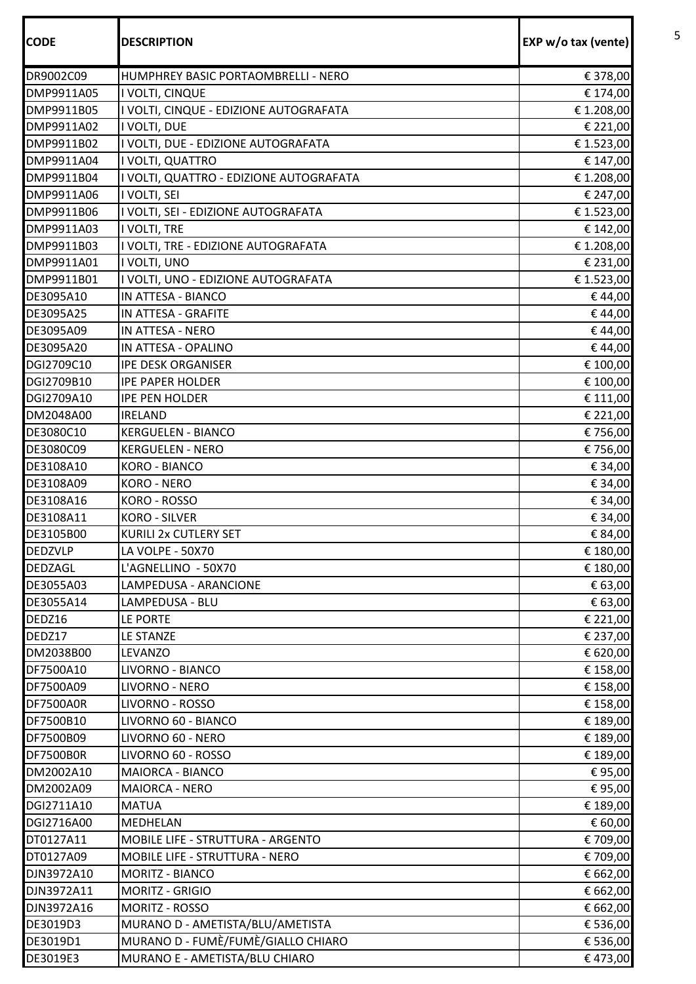| <b>CODE</b>      | <b>DESCRIPTION</b>                      | EXP w/o tax (vente) |
|------------------|-----------------------------------------|---------------------|
| DR9002C09        | HUMPHREY BASIC PORTAOMBRELLI - NERO     | € 378,00            |
| DMP9911A05       | I VOLTI, CINQUE                         | € 174,00            |
| DMP9911B05       | I VOLTI, CINQUE - EDIZIONE AUTOGRAFATA  | € 1.208,00          |
| DMP9911A02       | I VOLTI, DUE                            | € 221,00            |
| DMP9911B02       | I VOLTI, DUE - EDIZIONE AUTOGRAFATA     | € 1.523,00          |
| DMP9911A04       | I VOLTI, QUATTRO                        | € 147,00            |
| DMP9911B04       | I VOLTI, QUATTRO - EDIZIONE AUTOGRAFATA | € 1.208,00          |
| DMP9911A06       | I VOLTI, SEI                            | € 247,00            |
| DMP9911B06       | I VOLTI, SEI - EDIZIONE AUTOGRAFATA     | € 1.523,00          |
| DMP9911A03       | I VOLTI, TRE                            | € 142,00            |
| DMP9911B03       | I VOLTI, TRE - EDIZIONE AUTOGRAFATA     | € 1.208,00          |
| DMP9911A01       | I VOLTI, UNO                            | € 231,00            |
| DMP9911B01       | I VOLTI, UNO - EDIZIONE AUTOGRAFATA     | € 1.523,00          |
| DE3095A10        | IN ATTESA - BIANCO                      | €44,00              |
| DE3095A25        | IN ATTESA - GRAFITE                     | €44,00              |
| DE3095A09        | IN ATTESA - NERO                        | €44,00              |
| DE3095A20        | IN ATTESA - OPALINO                     | €44,00              |
| DGI2709C10       | <b>IPE DESK ORGANISER</b>               | € 100,00            |
| DGI2709B10       | <b>IPE PAPER HOLDER</b>                 | € 100,00            |
| DGI2709A10       | <b>IPE PEN HOLDER</b>                   | € 111,00            |
| DM2048A00        | <b>IRELAND</b>                          | € 221,00            |
| DE3080C10        | <b>KERGUELEN - BIANCO</b>               | € 756,00            |
| DE3080C09        | <b>KERGUELEN - NERO</b>                 | € 756,00            |
| DE3108A10        | <b>KORO - BIANCO</b>                    | € 34,00             |
| DE3108A09        | <b>KORO - NERO</b>                      | € 34,00             |
| DE3108A16        | KORO - ROSSO                            | € 34,00             |
| DE3108A11        | <b>KORO - SILVER</b>                    | € 34,00             |
| <b>DE3105B00</b> | KURILI 2x CUTLERY SET                   | € 84,00             |
| <b>DEDZVLP</b>   | LA VOLPE - 50X70                        | € 180,00            |
| <b>DEDZAGL</b>   | L'AGNELLINO - 50X70                     | € 180,00            |
| DE3055A03        | LAMPEDUSA - ARANCIONE                   | € 63,00             |
| DE3055A14        | LAMPEDUSA - BLU                         | € 63,00             |
| DEDZ16           | LE PORTE                                | € 221,00            |
| DEDZ17           | LE STANZE                               | € 237,00            |
| DM2038B00        | LEVANZO                                 | € 620,00            |
| DF7500A10        | LIVORNO - BIANCO                        | € 158,00            |
| DF7500A09        | LIVORNO - NERO                          | € 158,00            |
| <b>DF7500A0R</b> | LIVORNO - ROSSO                         | € 158,00            |
| DF7500B10        | LIVORNO 60 - BIANCO                     | € 189,00            |
| DF7500B09        | LIVORNO 60 - NERO                       | € 189,00            |
| <b>DF7500B0R</b> | LIVORNO 60 - ROSSO                      | € 189,00            |
| DM2002A10        | <b>MAIORCA - BIANCO</b>                 | € 95,00             |
| DM2002A09        | <b>MAIORCA - NERO</b>                   | €95,00              |
| DGI2711A10       | <b>MATUA</b>                            | € 189,00            |
| DGI2716A00       | MEDHELAN                                | € 60,00             |
| DT0127A11        | MOBILE LIFE - STRUTTURA - ARGENTO       | € 709,00            |
| DT0127A09        | MOBILE LIFE - STRUTTURA - NERO          | € 709,00            |
| DJN3972A10       | MORITZ - BIANCO                         | € 662,00            |
| DJN3972A11       | <b>MORITZ - GRIGIO</b>                  | € 662,00            |
| DJN3972A16       | MORITZ - ROSSO                          | € 662,00            |
| DE3019D3         | MURANO D - AMETISTA/BLU/AMETISTA        | € 536,00            |
| DE3019D1         | MURANO D - FUMÈ/FUMÈ/GIALLO CHIARO      | € 536,00            |
| DE3019E3         | MURANO E - AMETISTA/BLU CHIARO          | €473,00             |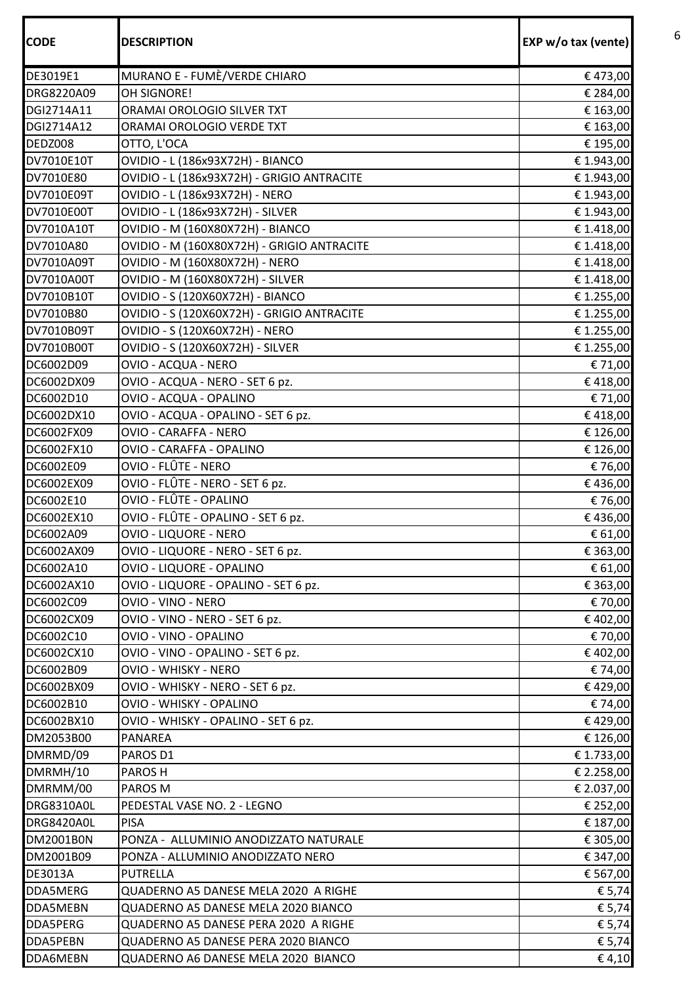| <b>CODE</b>       | <b>DESCRIPTION</b>                         | EXP w/o tax (vente) |
|-------------------|--------------------------------------------|---------------------|
| DE3019E1          | MURANO E - FUMÈ/VERDE CHIARO               | €473,00             |
| DRG8220A09        | OH SIGNORE!                                | € 284,00            |
| DGI2714A11        | ORAMAI OROLOGIO SILVER TXT                 | € 163,00            |
| DGI2714A12        | ORAMAI OROLOGIO VERDE TXT                  | € 163,00            |
| <b>DEDZ008</b>    | OTTO, L'OCA                                | € 195,00            |
| DV7010E10T        | OVIDIO - L (186x93X72H) - BIANCO           | € 1.943,00          |
| DV7010E80         | OVIDIO - L (186x93X72H) - GRIGIO ANTRACITE | € 1.943,00          |
| DV7010E09T        | OVIDIO - L (186x93X72H) - NERO             | € 1.943,00          |
| DV7010E00T        | OVIDIO - L (186x93X72H) - SILVER           | € 1.943,00          |
| DV7010A10T        | OVIDIO - M (160X80X72H) - BIANCO           | € 1.418,00          |
| DV7010A80         | OVIDIO - M (160X80X72H) - GRIGIO ANTRACITE | € 1.418,00          |
| DV7010A09T        | OVIDIO - M (160X80X72H) - NERO             | € 1.418,00          |
| DV7010A00T        | OVIDIO - M (160X80X72H) - SILVER           | € 1.418,00          |
| DV7010B10T        | OVIDIO - S (120X60X72H) - BIANCO           | € 1.255,00          |
| DV7010B80         | OVIDIO - S (120X60X72H) - GRIGIO ANTRACITE | € 1.255,00          |
| DV7010B09T        | OVIDIO - S (120X60X72H) - NERO             | € 1.255,00          |
| DV7010B00T        | OVIDIO - S (120X60X72H) - SILVER           | € 1.255,00          |
| DC6002D09         | OVIO - ACQUA - NERO                        | € 71,00             |
| DC6002DX09        | OVIO - ACQUA - NERO - SET 6 pz.            | €418,00             |
| DC6002D10         | OVIO - ACQUA - OPALINO                     | € 71,00             |
| DC6002DX10        | OVIO - ACQUA - OPALINO - SET 6 pz.         | €418,00             |
| DC6002FX09        | OVIO - CARAFFA - NERO                      | € 126,00            |
| DC6002FX10        | OVIO - CARAFFA - OPALINO                   | € 126,00            |
| DC6002E09         | OVIO - FLÛTE - NERO                        | € 76,00             |
| DC6002EX09        | OVIO - FLÛTE - NERO - SET 6 pz.            | €436,00             |
| DC6002E10         | OVIO - FLÛTE - OPALINO                     | € 76,00             |
| DC6002EX10        | OVIO - FLÛTE - OPALINO - SET 6 pz.         | €436,00             |
| DC6002A09         | OVIO - LIQUORE - NERO                      | € 61,00             |
| DC6002AX09        | OVIO - LIQUORE - NERO - SET 6 pz.          | € 363,00            |
| DC6002A10         | OVIO - LIQUORE - OPALINO                   | € 61,00             |
| DC6002AX10        | OVIO - LIQUORE - OPALINO - SET 6 pz.       | € 363,00            |
| DC6002C09         | OVIO - VINO - NERO                         | € 70,00             |
| DC6002CX09        | OVIO - VINO - NERO - SET 6 pz.             | € 402,00            |
| DC6002C10         | OVIO - VINO - OPALINO                      | € 70,00             |
| DC6002CX10        | OVIO - VINO - OPALINO - SET 6 pz.          | € 402,00            |
| DC6002B09         | OVIO - WHISKY - NERO                       | € 74,00             |
| DC6002BX09        | OVIO - WHISKY - NERO - SET 6 pz.           | €429,00             |
| DC6002B10         | OVIO - WHISKY - OPALINO                    | € 74,00             |
| DC6002BX10        | OVIO - WHISKY - OPALINO - SET 6 pz.        | €429,00             |
| DM2053B00         | PANAREA                                    | € 126,00            |
| DMRMD/09          | PAROS D1                                   | € 1.733,00          |
| DMRMH/10          | PAROS H                                    | € 2.258,00          |
| DMRMM/00          | PAROS M                                    | € 2.037,00          |
| <b>DRG8310A0L</b> | PEDESTAL VASE NO. 2 - LEGNO                | € 252,00            |
| <b>DRG8420A0L</b> | <b>PISA</b>                                | € 187,00            |
| DM2001B0N         | PONZA - ALLUMINIO ANODIZZATO NATURALE      | € 305,00            |
| DM2001B09         | PONZA - ALLUMINIO ANODIZZATO NERO          | € 347,00            |
| DE3013A           | <b>PUTRELLA</b>                            | € 567,00            |
| <b>DDA5MERG</b>   | QUADERNO A5 DANESE MELA 2020 A RIGHE       | € 5,74              |
| DDA5MEBN          | QUADERNO A5 DANESE MELA 2020 BIANCO        | € 5,74              |
| <b>DDA5PERG</b>   | QUADERNO A5 DANESE PERA 2020 A RIGHE       | € 5,74              |
| <b>DDA5PEBN</b>   | QUADERNO A5 DANESE PERA 2020 BIANCO        | € 5,74              |
| <b>DDA6MEBN</b>   | QUADERNO A6 DANESE MELA 2020 BIANCO        | €4,10               |